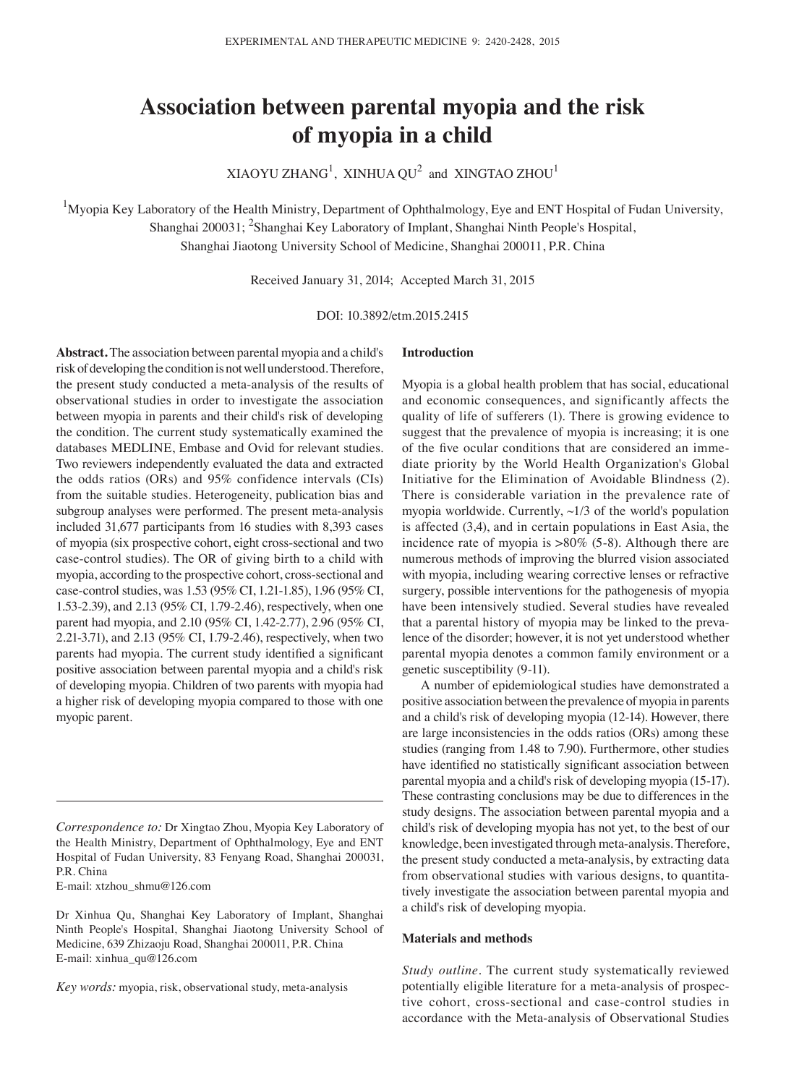# **Association between parental myopia and the risk of myopia in a child**

XIAOYU ZHANG $^1$ , XINHUA QU $^2$  and XINGTAO ZHOU $^1$ 

<sup>1</sup>Myopia Key Laboratory of the Health Ministry, Department of Ophthalmology, Eye and ENT Hospital of Fudan University, Shanghai 200031; <sup>2</sup>Shanghai Key Laboratory of Implant, Shanghai Ninth People's Hospital, Shanghai Jiaotong University School of Medicine, Shanghai 200011, P.R. China

Received January 31, 2014; Accepted March 31, 2015

DOI: 10.3892/etm.2015.2415

**Abstract.** The association between parental myopia and a child's risk of developing the condition is not well understood. Therefore, the present study conducted a meta-analysis of the results of observational studies in order to investigate the association between myopia in parents and their child's risk of developing the condition. The current study systematically examined the databases MEDLINE, Embase and Ovid for relevant studies. Two reviewers independently evaluated the data and extracted the odds ratios (ORs) and 95% confidence intervals (CIs) from the suitable studies. Heterogeneity, publication bias and subgroup analyses were performed. The present meta-analysis included 31,677 participants from 16 studies with 8,393 cases of myopia (six prospective cohort, eight cross-sectional and two case-control studies). The OR of giving birth to a child with myopia, according to the prospective cohort, cross-sectional and case-control studies, was 1.53 (95% CI, 1.21-1.85), 1.96 (95% CI, 1.53-2.39), and 2.13 (95% CI, 1.79-2.46), respectively, when one parent had myopia, and 2.10 (95% CI, 1.42-2.77), 2.96 (95% CI, 2.21-3.71), and 2.13 (95% CI, 1.79-2.46), respectively, when two parents had myopia. The current study identified a significant positive association between parental myopia and a child's risk of developing myopia. Children of two parents with myopia had a higher risk of developing myopia compared to those with one myopic parent.

E-mail: xtzhou\_shmu@126.com

*Key words:* myopia, risk, observational study, meta-analysis

# **Introduction**

Myopia is a global health problem that has social, educational and economic consequences, and significantly affects the quality of life of sufferers (1). There is growing evidence to suggest that the prevalence of myopia is increasing; it is one of the five ocular conditions that are considered an immediate priority by the World Health Organization's Global Initiative for the Elimination of Avoidable Blindness (2). There is considerable variation in the prevalence rate of myopia worldwide. Currently,  $\sim$ 1/3 of the world's population is affected (3,4), and in certain populations in East Asia, the incidence rate of myopia is >80% (5-8). Although there are numerous methods of improving the blurred vision associated with myopia, including wearing corrective lenses or refractive surgery, possible interventions for the pathogenesis of myopia have been intensively studied. Several studies have revealed that a parental history of myopia may be linked to the prevalence of the disorder; however, it is not yet understood whether parental myopia denotes a common family environment or a genetic susceptibility (9-11).

A number of epidemiological studies have demonstrated a positive association between the prevalence of myopia in parents and a child's risk of developing myopia (12-14). However, there are large inconsistencies in the odds ratios (ORs) among these studies (ranging from 1.48 to 7.90). Furthermore, other studies have identified no statistically significant association between parental myopia and a child's risk of developing myopia (15-17). These contrasting conclusions may be due to differences in the study designs. The association between parental myopia and a child's risk of developing myopia has not yet, to the best of our knowledge, been investigated through meta-analysis. Therefore, the present study conducted a meta-analysis, by extracting data from observational studies with various designs, to quantitatively investigate the association between parental myopia and a child's risk of developing myopia.

### **Materials and methods**

*Study outline.* The current study systematically reviewed potentially eligible literature for a meta-analysis of prospective cohort, cross-sectional and case-control studies in accordance with the Meta-analysis of Observational Studies

*Correspondence to:* Dr Xingtao Zhou, Myopia Key Laboratory of the Health Ministry, Department of Ophthalmology, Eye and ENT Hospital of Fudan University, 83 Fenyang Road, Shanghai 200031, P.R. China

Dr Xinhua Qu, Shanghai Key Laboratory of Implant, Shanghai Ninth People's Hospital, Shanghai Jiaotong University School of Medicine, 639 Zhizaoju Road, Shanghai 200011, P.R. China E-mail: xinhua\_qu@126.com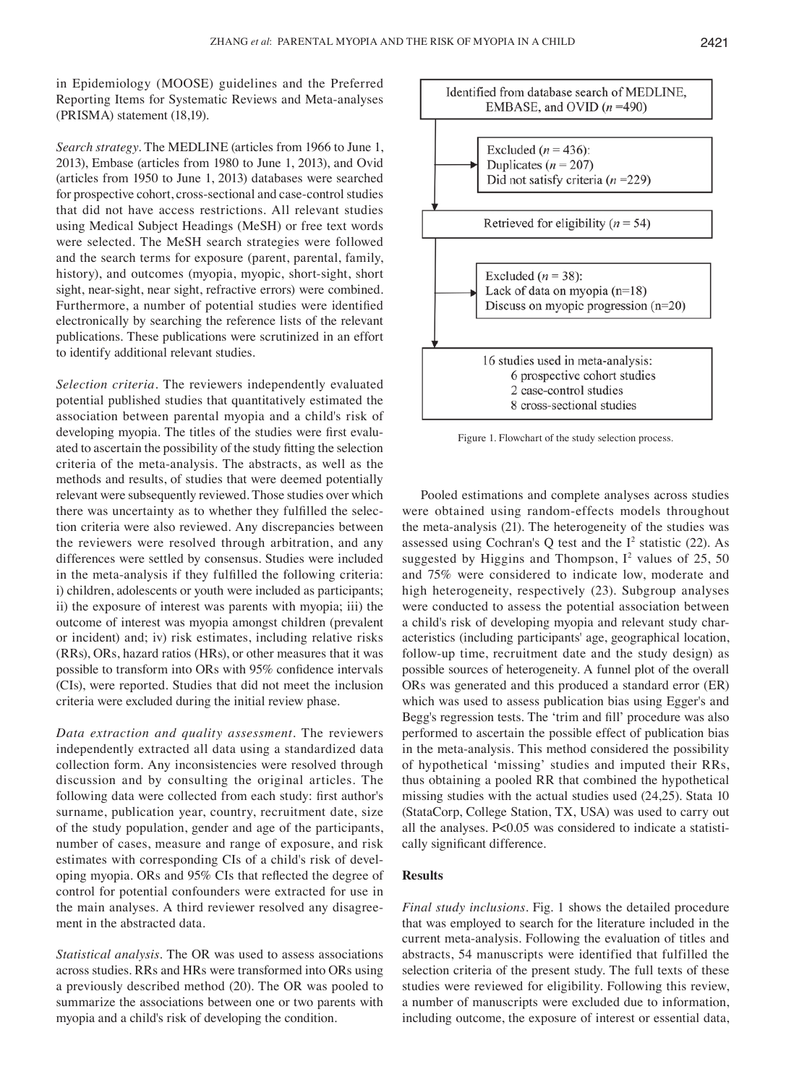in Epidemiology (MOOSE) guidelines and the Preferred Reporting Items for Systematic Reviews and Meta-analyses (PRISMA) statement (18,19).

*Search strategy.* The MEDLINE (articles from 1966 to June 1, 2013), Embase (articles from 1980 to June 1, 2013), and Ovid (articles from 1950 to June 1, 2013) databases were searched for prospective cohort, cross-sectional and case-control studies that did not have access restrictions. All relevant studies using Medical Subject Headings (MeSH) or free text words were selected. The MeSH search strategies were followed and the search terms for exposure (parent, parental, family, history), and outcomes (myopia, myopic, short-sight, short sight, near-sight, near sight, refractive errors) were combined. Furthermore, a number of potential studies were identified electronically by searching the reference lists of the relevant publications. These publications were scrutinized in an effort to identify additional relevant studies.

*Selection criteria.* The reviewers independently evaluated potential published studies that quantitatively estimated the association between parental myopia and a child's risk of developing myopia. The titles of the studies were first evaluated to ascertain the possibility of the study fitting the selection criteria of the meta-analysis. The abstracts, as well as the methods and results, of studies that were deemed potentially relevant were subsequently reviewed. Those studies over which there was uncertainty as to whether they fulfilled the selection criteria were also reviewed. Any discrepancies between the reviewers were resolved through arbitration, and any differences were settled by consensus. Studies were included in the meta-analysis if they fulfilled the following criteria: i) children, adolescents or youth were included as participants; ii) the exposure of interest was parents with myopia; iii) the outcome of interest was myopia amongst children (prevalent or incident) and; iv) risk estimates, including relative risks (RRs), ORs, hazard ratios (HRs), or other measures that it was possible to transform into ORs with 95% confidence intervals (CIs), were reported. Studies that did not meet the inclusion criteria were excluded during the initial review phase.

*Data extraction and quality assessment.* The reviewers independently extracted all data using a standardized data collection form. Any inconsistencies were resolved through discussion and by consulting the original articles. The following data were collected from each study: first author's surname, publication year, country, recruitment date, size of the study population, gender and age of the participants, number of cases, measure and range of exposure, and risk estimates with corresponding CIs of a child's risk of developing myopia. ORs and 95% CIs that reflected the degree of control for potential confounders were extracted for use in the main analyses. A third reviewer resolved any disagreement in the abstracted data.

*Statistical analysis.* The OR was used to assess associations across studies. RRs and HRs were transformed into ORs using a previously described method (20). The OR was pooled to summarize the associations between one or two parents with myopia and a child's risk of developing the condition.



Figure 1. Flowchart of the study selection process.

Pooled estimations and complete analyses across studies were obtained using random-effects models throughout the meta-analysis (21). The heterogeneity of the studies was assessed using Cochran's  $Q$  test and the  $I^2$  statistic (22). As suggested by Higgins and Thompson,  $I^2$  values of 25, 50 and 75% were considered to indicate low, moderate and high heterogeneity, respectively (23). Subgroup analyses were conducted to assess the potential association between a child's risk of developing myopia and relevant study characteristics (including participants' age, geographical location, follow-up time, recruitment date and the study design) as possible sources of heterogeneity. A funnel plot of the overall ORs was generated and this produced a standard error (ER) which was used to assess publication bias using Egger's and Begg's regression tests. The 'trim and fill' procedure was also performed to ascertain the possible effect of publication bias in the meta-analysis. This method considered the possibility of hypothetical 'missing' studies and imputed their RRs, thus obtaining a pooled RR that combined the hypothetical missing studies with the actual studies used (24,25). Stata 10 (StataCorp, College Station, TX, USA) was used to carry out all the analyses. P<0.05 was considered to indicate a statistically significant difference.

## **Results**

*Final study inclusions.* Fig. 1 shows the detailed procedure that was employed to search for the literature included in the current meta-analysis. Following the evaluation of titles and abstracts, 54 manuscripts were identified that fulfilled the selection criteria of the present study. The full texts of these studies were reviewed for eligibility. Following this review, a number of manuscripts were excluded due to information, including outcome, the exposure of interest or essential data,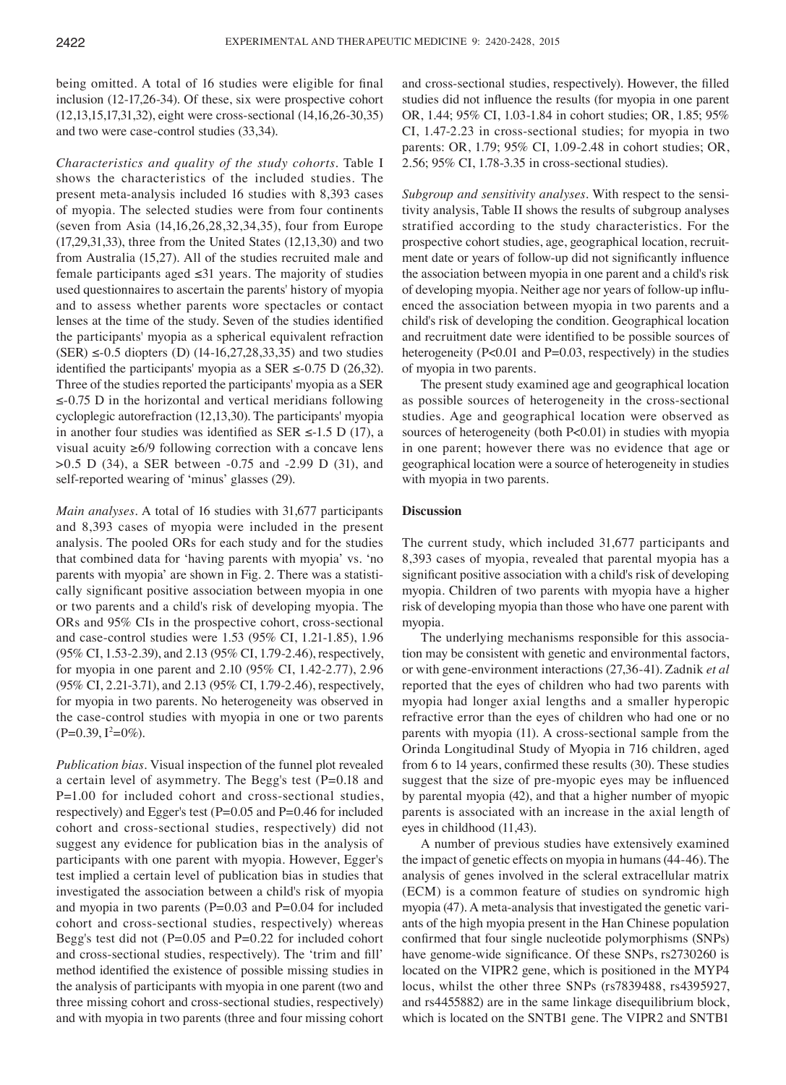being omitted. A total of 16 studies were eligible for final inclusion (12-17,26-34). Of these, six were prospective cohort (12,13,15,17,31,32), eight were cross-sectional (14,16,26-30,35) and two were case-control studies (33,34).

*Characteristics and quality of the study cohorts.* Table I shows the characteristics of the included studies. The present meta-analysis included 16 studies with 8,393 cases of myopia. The selected studies were from four continents (seven from Asia (14,16,26,28,32,34,35), four from Europe (17,29,31,33), three from the United States (12,13,30) and two from Australia (15,27). All of the studies recruited male and female participants aged ≤31 years. The majority of studies used questionnaires to ascertain the parents' history of myopia and to assess whether parents wore spectacles or contact lenses at the time of the study. Seven of the studies identified the participants' myopia as a spherical equivalent refraction  $(SER) \le -0.5$  diopters (D) (14-16,27,28,33,35) and two studies identified the participants' myopia as a SER  $\leq$ -0.75 D (26,32). Three of the studies reported the participants' myopia as a SER ≤-0.75 D in the horizontal and vertical meridians following cycloplegic autorefraction (12,13,30). The participants' myopia in another four studies was identified as  $SER \leq -1.5$  D (17), a visual acuity ≥6/9 following correction with a concave lens >0.5 D (34), a SER between -0.75 and -2.99 D (31), and self-reported wearing of 'minus' glasses (29).

*Main analyses.* A total of 16 studies with 31,677 participants and 8,393 cases of myopia were included in the present analysis. The pooled ORs for each study and for the studies that combined data for 'having parents with myopia' vs. 'no parents with myopia' are shown in Fig. 2. There was a statistically significant positive association between myopia in one or two parents and a child's risk of developing myopia. The ORs and 95% CIs in the prospective cohort, cross-sectional and case-control studies were 1.53 (95% CI, 1.21-1.85), 1.96 (95% CI, 1.53-2.39), and 2.13 (95% CI, 1.79-2.46), respectively, for myopia in one parent and 2.10 (95% CI, 1.42-2.77), 2.96 (95% CI, 2.21-3.71), and 2.13 (95% CI, 1.79-2.46), respectively, for myopia in two parents. No heterogeneity was observed in the case-control studies with myopia in one or two parents  $(P=0.39, I^2=0\%).$ 

*Publication bias.* Visual inspection of the funnel plot revealed a certain level of asymmetry. The Begg's test (P=0.18 and P=1.00 for included cohort and cross-sectional studies, respectively) and Egger's test (P=0.05 and P=0.46 for included cohort and cross-sectional studies, respectively) did not suggest any evidence for publication bias in the analysis of participants with one parent with myopia. However, Egger's test implied a certain level of publication bias in studies that investigated the association between a child's risk of myopia and myopia in two parents  $(P=0.03$  and  $P=0.04$  for included cohort and cross-sectional studies, respectively) whereas Begg's test did not (P=0.05 and P=0.22 for included cohort and cross-sectional studies, respectively). The 'trim and fill' method identified the existence of possible missing studies in the analysis of participants with myopia in one parent (two and three missing cohort and cross-sectional studies, respectively) and with myopia in two parents (three and four missing cohort and cross-sectional studies, respectively). However, the filled studies did not influence the results (for myopia in one parent OR, 1.44; 95% CI, 1.03-1.84 in cohort studies; OR, 1.85; 95% CI, 1.47-2.23 in cross-sectional studies; for myopia in two parents: OR, 1.79; 95% CI, 1.09-2.48 in cohort studies; OR, 2.56; 95% CI, 1.78-3.35 in cross-sectional studies).

*Subgroup and sensitivity analyses.* With respect to the sensitivity analysis, Table II shows the results of subgroup analyses stratified according to the study characteristics. For the prospective cohort studies, age, geographical location, recruitment date or years of follow-up did not significantly influence the association between myopia in one parent and a child's risk of developing myopia. Neither age nor years of follow-up influenced the association between myopia in two parents and a child's risk of developing the condition. Geographical location and recruitment date were identified to be possible sources of heterogeneity (P<0.01 and P=0.03, respectively) in the studies of myopia in two parents.

The present study examined age and geographical location as possible sources of heterogeneity in the cross-sectional studies. Age and geographical location were observed as sources of heterogeneity (both P<0.01) in studies with myopia in one parent; however there was no evidence that age or geographical location were a source of heterogeneity in studies with myopia in two parents.

## **Discussion**

The current study, which included 31,677 participants and 8,393 cases of myopia, revealed that parental myopia has a significant positive association with a child's risk of developing myopia. Children of two parents with myopia have a higher risk of developing myopia than those who have one parent with myopia.

The underlying mechanisms responsible for this association may be consistent with genetic and environmental factors, or with gene-environment interactions (27,36-41). Zadnik *et al* reported that the eyes of children who had two parents with myopia had longer axial lengths and a smaller hyperopic refractive error than the eyes of children who had one or no parents with myopia (11). A cross-sectional sample from the Orinda Longitudinal Study of Myopia in 716 children, aged from 6 to 14 years, confirmed these results (30). These studies suggest that the size of pre-myopic eyes may be influenced by parental myopia (42), and that a higher number of myopic parents is associated with an increase in the axial length of eyes in childhood (11,43).

A number of previous studies have extensively examined the impact of genetic effects on myopia in humans(44-46). The analysis of genes involved in the scleral extracellular matrix (ECM) is a common feature of studies on syndromic high myopia (47). A meta-analysis that investigated the genetic variants of the high myopia present in the Han Chinese population confirmed that four single nucleotide polymorphisms (SNPs) have genome-wide significance. Of these SNPs, rs2730260 is located on the VIPR2 gene, which is positioned in the MYP4 locus, whilst the other three SNPs (rs7839488, rs4395927, and rs4455882) are in the same linkage disequilibrium block, which is located on the SNTB1 gene. The VIPR2 and SNTB1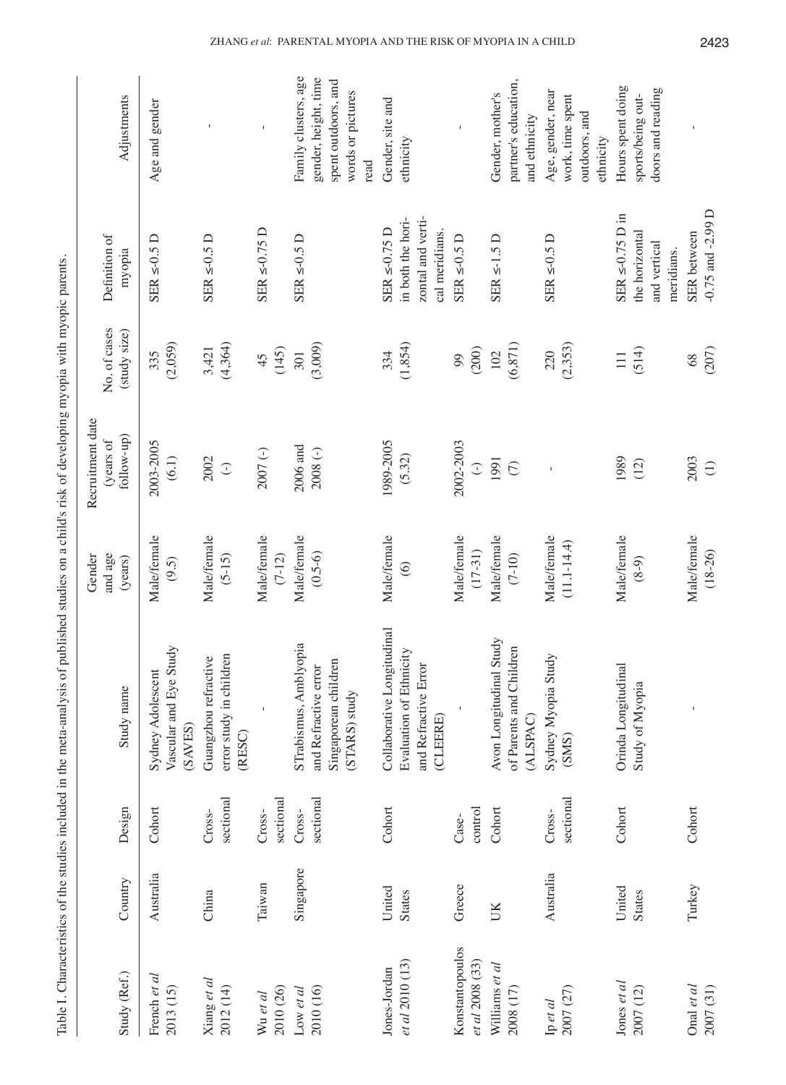| Study (Ref.)                       | Country                 | Design              | Study name                                                                                | and age<br>Gender<br>(years)   | Recruitment date<br>follow-up)<br>(years of | No. of cases<br>(study size) | Definition of<br>myopia                                                        | Adjustments                                                                                      |
|------------------------------------|-------------------------|---------------------|-------------------------------------------------------------------------------------------|--------------------------------|---------------------------------------------|------------------------------|--------------------------------------------------------------------------------|--------------------------------------------------------------------------------------------------|
| French et al<br>2013 (15)          | Australia               | Cohort              | Vascular and Eye Study<br>Sydney Adolescent<br>(SAVES)                                    | Male/female<br>(9.5)           | 2003-2005<br>(6.1)                          | (2,059)<br>335               | SER $\leq$ -0.5 D                                                              | Age and gender                                                                                   |
| Xiang et al<br>2012 (14)           | China                   | sectional<br>Cross- | error study in children<br>Guangzhou refractive<br>(RESC)                                 | Male/female<br>$(5-15)$        | 2002<br>$\overline{C}$                      | (4,364)<br>3,421             | SER $\leq$ -0.5 D                                                              |                                                                                                  |
| 2010 (26)<br>Wu et al              | Taiwan                  | sectional<br>Cross- |                                                                                           | Male/female<br>$(7-12)$        | 2007(-)                                     | (145)<br>45                  | SER $\leq$ -0.75 D                                                             |                                                                                                  |
| 2010 (16)<br>Low et al             | Singapore               | sectional<br>Cross- | STrabismus, Amblyopia<br>Singaporean children<br>and Refractive error<br>(STARS) study    | Male/female<br>$(0.5-6)$       | 2006 and<br>$2008(-)$                       | (3,009)<br>301               | SER $\leq$ -0.5 D                                                              | Family clusters, age<br>gender, height, time<br>spent outdoors, and<br>words or pictures<br>read |
| et al 2010 (13)<br>Jones-Jordan    | United<br><b>States</b> | Cohort              | Collaborative Longitudinal<br>Evaluation of Ethnicity<br>and Refractive Error<br>(CLEERE) | Male/female<br>$\circledcirc$  | 1989-2005<br>(5.32)                         | (1,854)<br>334               | zontal and verti-<br>in both the hori-<br>SER $\leq$ -0.75 D<br>cal meridians. | Gender, site and<br>ethnicity                                                                    |
| Konstantopoulos<br>et al 2008 (33) | Greece                  | control<br>Case-    |                                                                                           | Male/female<br>$(17-31)$       | 2002-2003<br>$\overline{\cdot}$             | (200)<br>99                  | SER $\leq$ -0.5 D                                                              | $\bar{1}$                                                                                        |
| Williams $et\ al$<br>2008 (17)     | UK                      | Cohort              | Avon Longitudinal Study<br>of Parents and Children<br>(ALSPAC)                            | Male/female<br>$(7-10)$        | 1991<br>$\odot$                             | (6, 871)<br>102              | $SER \le -1.5 D$                                                               | partner's education,<br>Gender, mother's<br>and ethnicity                                        |
| 2007 (27)<br>Ip et al              | Australia               | sectional<br>Cross- | Sydney Myopia Study<br>(SMS)                                                              | Male/female<br>$(11.1 - 14.4)$ |                                             | (2,353)<br>220               | SER $\leq$ -0.5 D                                                              | Age, gender, near<br>work, time spent<br>outdoors, and<br>ethnicity                              |
| Jones $et$ $al$<br>2007 (12)       | United<br><b>States</b> | Cohort              | Orinda Longitudinal<br>Study of Myopia                                                    | Male/female<br>$(8-9)$         | 1989<br>(12)                                | (514)<br>$\Xi$               | SER $\leq$ -0.75 D in<br>the horizontal<br>and vertical<br>meridians.          | Hours spent doing<br>doors and reading<br>sports/being out-                                      |
| Onal et al<br>2007 (31)            | Turkey                  | Cohort              |                                                                                           | Male/female<br>$(18-26)$       | 2003<br>$\bigoplus$                         | (207)<br>68                  | $-0.75$ and $-2.99$ D<br>SER between                                           |                                                                                                  |

Table I. Characteristics of the studies included in the meta-analysis of published studies on a child's risk of developing myopia with myopic parents. Table I. Characteristics of the studies included in the meta-analysis of published studies on a child's risk of developing myopia with myopic parents.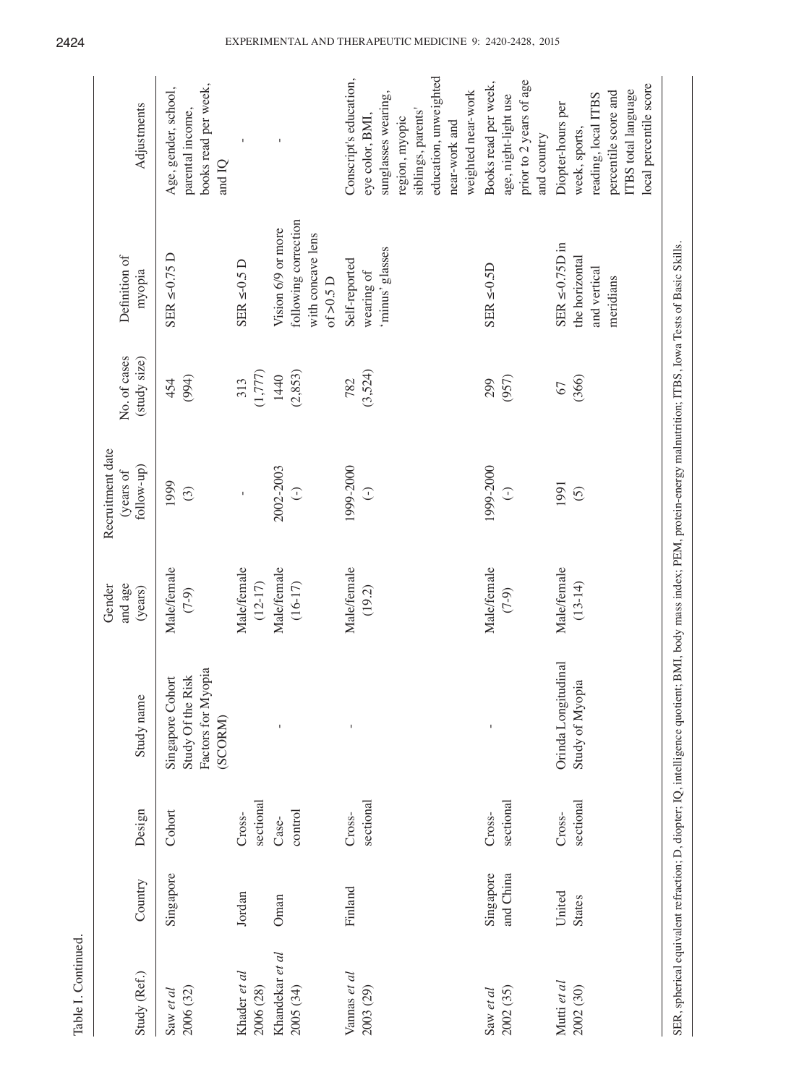| Study (Ref.)                 | Country                 | Design              | Study name                                                             | and age<br>Gender<br>(years) | Recruitment date<br>follow-up)<br>(years of | No. of cases<br>(study size) | Definition of<br>myopia                                                        | Adjustments                                                                                                                                       |
|------------------------------|-------------------------|---------------------|------------------------------------------------------------------------|------------------------------|---------------------------------------------|------------------------------|--------------------------------------------------------------------------------|---------------------------------------------------------------------------------------------------------------------------------------------------|
| 2006 (32)<br>Saw et al       | Singapore               | Cohort              | Factors for Myopia<br>Study Of the Risk<br>Singapore Cohort<br>(SCORM) | Male/female<br>$(7-9)$       | 1999<br>$\odot$                             | (994)<br>454                 | SER $\leq$ 0.75 D                                                              | books read per week,<br>Age, gender, school,<br>parental income,<br>and IQ                                                                        |
| Khader et al<br>2006 (28)    | Jordan                  | sectional<br>Cross- |                                                                        | Male/female<br>$(12-17)$     |                                             | (1,777)<br>313               | SER $\leq$ -0.5 D                                                              |                                                                                                                                                   |
| Khandekar et al<br>2005 (34) | Oman                    | control<br>Case-    | $\overline{1}$                                                         | Male/female<br>$(16-17)$     | 2002-2003<br>$\widehat{\mathbb{C}}$         | (2, 853)<br>1440             | following correction<br>Vision 6/9 or more<br>with concave lens<br>of $>0.5$ D |                                                                                                                                                   |
| Vannas et al<br>2003 (29)    | Finland                 | sectional<br>Cross- |                                                                        | Male/female<br>(19.2)        | 1999-2000<br>$\bigodot$                     | (3,524)<br>782               | minus' glasses<br>Self-reported<br>wearing of                                  | education, unweighted<br>Conscript's education,<br>sunglasses wearing,<br>siblings, parents'<br>region, myopic<br>eye color, BMI<br>near-work and |
| 2002 (35)<br>Saw et al       | Singapore<br>and China  | sectional<br>Cross- |                                                                        | Male/female<br>$(7-9)$       | 1999-2000<br>$\hat{\mathcal{L}}$            | (957)<br>299                 | SER $\leq$ -0.5D                                                               | prior to 2 years of age<br>Books read per week,<br>weighted near-work<br>age, night-light use<br>and country                                      |
| Mutti et al<br>2002 (30)     | United<br><b>States</b> | sectional<br>Cross- | Orinda Longitudinal<br>Study of Myopia                                 | Male/female<br>$(13-14)$     | 1991<br>$\odot$                             | (366)<br>67                  | SER $\leq$ -0.75D in<br>the horizontal<br>and vertical<br>meridians            | local percentile score<br>ITBS total language<br>percentile score and<br>reading, local ITBS<br>Diopter-hours per<br>week, sports,                |

Table I. Continued.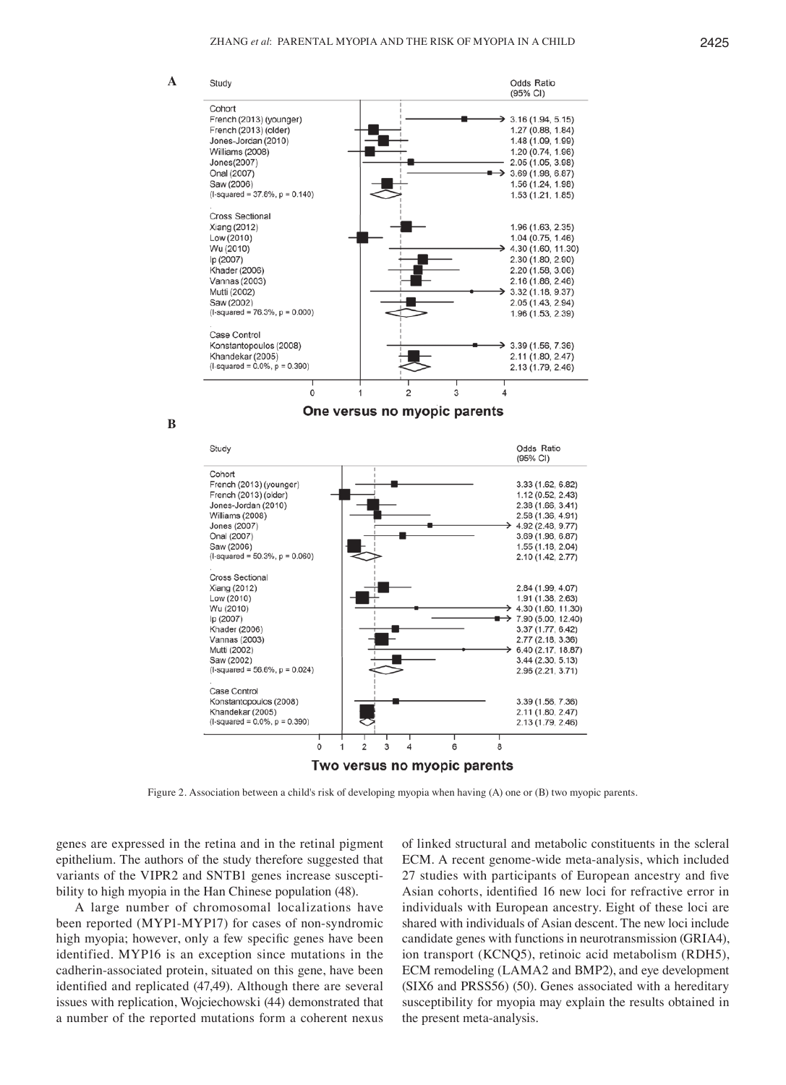

 **B**



Two versus no myopic parents

 $\overline{2}$  $\overline{3}$ 

 $\mathbf 0$ 

genes are expressed in the retina and in the retinal pigment epithelium. The authors of the study therefore suggested that variants of the VIPR2 and SNTB1 genes increase susceptibility to high myopia in the Han Chinese population (48).

Vannas (2003)

 $(1-squared = 56.6\%, p = 0.024)$ 

(I-squared =  $0.0\%$ ,  $p = 0.390$ )

Mutti (2002)

Saw (2002)

Case Control Konstantopoulos (2008)

Khandekar (2005)

A large number of chromosomal localizations have been reported (MYP1-MYP17) for cases of non-syndromic high myopia; however, only a few specific genes have been identified. MYP16 is an exception since mutations in the cadherin-associated protein, situated on this gene, have been identified and replicated (47,49). Although there are several issues with replication, Wojciechowski (44) demonstrated that a number of the reported mutations form a coherent nexus of linked structural and metabolic constituents in the scleral ECM. A recent genome-wide meta-analysis, which included 27 studies with participants of European ancestry and five Asian cohorts, identified 16 new loci for refractive error in individuals with European ancestry. Eight of these loci are shared with individuals of Asian descent. The new loci include candidate genes with functions in neurotransmission (GRIA4), ion transport (KCNQ5), retinoic acid metabolism (RDH5), ECM remodeling (LAMA2 and BMP2), and eye development (SIX6 and PRSS56) (50). Genes associated with a hereditary susceptibility for myopia may explain the results obtained in the present meta-analysis.

2.77 (2.18, 3.36)

3.44 (2.30, 5.13)

2.96 (2.21, 3.71)

3.39 (1.56, 7.36)

2.11 (1.80, 2.47)

2.13 (1.79, 2.46)

 $\mathcal{B}$ 

6.40 (2.17, 18.87)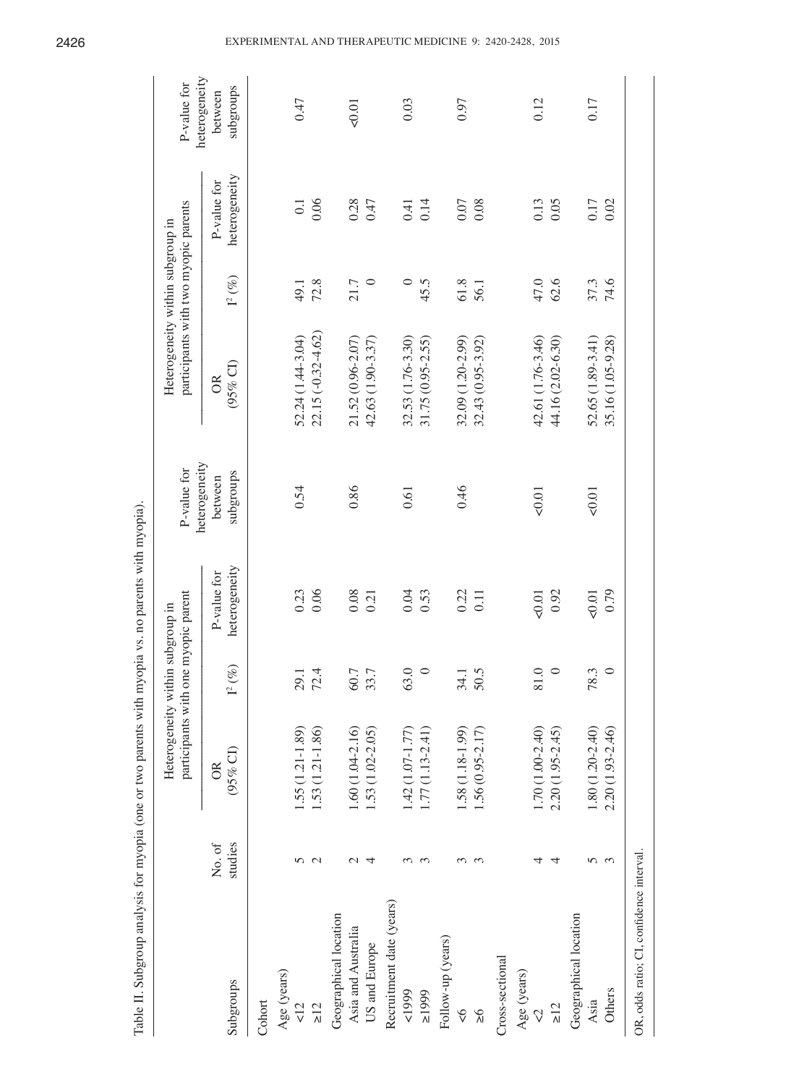| heterogeneity<br>P-value for<br>0.13<br>0.06<br>0.28<br>0.07<br>0.05<br>0.17<br>0.02<br>0.47<br>0.14<br>0.08<br>$\overline{0.1}$<br>0.41<br>$\mathcal{I}^2\left(\mathcal{V}\!e\right)$<br>74.6<br>$\circ$<br>47.0<br>37.3<br>72.8<br>21.7<br>0<br>45.5<br>61.8<br>62.6<br>49.1<br>56.1<br>22.15 (-0.32-4.62)<br>52.24 (1.44-3.04)<br>32.53 (1.76-3.30)<br>32.09 (1.20-2.99)<br>42.61 (1.76-3.46)<br>44.16 (2.02-6.30)<br>52.65 (1.89-3.41)<br>35.16 (1.05-9.28)<br>21.52 (0.96-2.07)<br>31.75 (0.95-2.55)<br>$32.43(0.95-3.92)$<br>42.63 (1.90-3.37)<br>$(95%$ CI)<br>$\Im$<br>subgroups<br>between<br>0.86<br>0.46<br>0.54<br>$-0.01$<br>$-0.01$<br>0.61<br>heterogeneity<br>P-value for<br>0.23<br>0.06<br>0.04<br>0.08<br>0.53<br>0.22<br>0.92<br>0.79<br>$-0.01$<br>$-0.01$<br>0.21<br>0.11<br>$\mathcal{l}^2\left(\mathcal{V}\!e\right)$<br>63.0<br>50.5<br>78.3<br>$\circ$<br>72.4<br>0<br>81.0<br>60.7<br>33.7<br>34.1<br>0<br>29.1<br>$1.53(1.21-1.86)$<br>$1.77(1.13 - 2.41)$<br>1.56 (0.95-2.17)<br>1.70 (1.00-2.40)<br>$2.20(1.95 - 2.45)$<br>1.80 (1.20-2.40)<br>2.20 (1.93-2.46)<br>$.55(1.21-1.89)$<br>1.60 (1.04-2.16)<br>1.53 (1.02-2.05)<br>1.42 (1.07-1.77)<br>1.58 (1.18-1.99)<br>$(95%$ CI)<br>$\infty$<br>studies<br>No.of<br>$\sqrt{2}$<br>$\sim$<br>$\sim$<br>$\mathfrak{g}$<br>$\mathfrak{g}$<br>5<br>$\mathfrak{g}$<br>4<br>$\mathfrak{c}$<br>3<br>4<br>4<br>Recruitment date (years)<br>Geographical location<br>Geographical location<br>Asia and Australia<br>Follow-up (years)<br>US and Europe<br>Cross-sectional<br>Age (years)<br>Age (years)<br>Subgroups<br>Others<br>21999<br>509<br>Asia<br>Cohort<br>12<br>$\geq 12$<br>$\geq 12$<br>$\frac{6}{5}$<br>$\frac{8}{10}$<br>$\heartsuit$ |  | participants with one myopic parent<br>Heterogeneity within subgroup in |  | P-value for   | participants with two myopic parents<br>Heterogeneity within subgroup in |  | P-value for                           |
|---------------------------------------------------------------------------------------------------------------------------------------------------------------------------------------------------------------------------------------------------------------------------------------------------------------------------------------------------------------------------------------------------------------------------------------------------------------------------------------------------------------------------------------------------------------------------------------------------------------------------------------------------------------------------------------------------------------------------------------------------------------------------------------------------------------------------------------------------------------------------------------------------------------------------------------------------------------------------------------------------------------------------------------------------------------------------------------------------------------------------------------------------------------------------------------------------------------------------------------------------------------------------------------------------------------------------------------------------------------------------------------------------------------------------------------------------------------------------------------------------------------------------------------------------------------------------------------------------------------------------------------------------------------------------------------------------------------------------|--|-------------------------------------------------------------------------|--|---------------|--------------------------------------------------------------------------|--|---------------------------------------|
|                                                                                                                                                                                                                                                                                                                                                                                                                                                                                                                                                                                                                                                                                                                                                                                                                                                                                                                                                                                                                                                                                                                                                                                                                                                                                                                                                                                                                                                                                                                                                                                                                                                                                                                           |  |                                                                         |  | heterogeneity |                                                                          |  | heterogeneity<br>subgroups<br>between |
|                                                                                                                                                                                                                                                                                                                                                                                                                                                                                                                                                                                                                                                                                                                                                                                                                                                                                                                                                                                                                                                                                                                                                                                                                                                                                                                                                                                                                                                                                                                                                                                                                                                                                                                           |  |                                                                         |  |               |                                                                          |  |                                       |
|                                                                                                                                                                                                                                                                                                                                                                                                                                                                                                                                                                                                                                                                                                                                                                                                                                                                                                                                                                                                                                                                                                                                                                                                                                                                                                                                                                                                                                                                                                                                                                                                                                                                                                                           |  |                                                                         |  |               |                                                                          |  | 0.47                                  |
|                                                                                                                                                                                                                                                                                                                                                                                                                                                                                                                                                                                                                                                                                                                                                                                                                                                                                                                                                                                                                                                                                                                                                                                                                                                                                                                                                                                                                                                                                                                                                                                                                                                                                                                           |  |                                                                         |  |               |                                                                          |  |                                       |
|                                                                                                                                                                                                                                                                                                                                                                                                                                                                                                                                                                                                                                                                                                                                                                                                                                                                                                                                                                                                                                                                                                                                                                                                                                                                                                                                                                                                                                                                                                                                                                                                                                                                                                                           |  |                                                                         |  |               |                                                                          |  | $-0.01$                               |
|                                                                                                                                                                                                                                                                                                                                                                                                                                                                                                                                                                                                                                                                                                                                                                                                                                                                                                                                                                                                                                                                                                                                                                                                                                                                                                                                                                                                                                                                                                                                                                                                                                                                                                                           |  |                                                                         |  |               |                                                                          |  |                                       |
|                                                                                                                                                                                                                                                                                                                                                                                                                                                                                                                                                                                                                                                                                                                                                                                                                                                                                                                                                                                                                                                                                                                                                                                                                                                                                                                                                                                                                                                                                                                                                                                                                                                                                                                           |  |                                                                         |  |               |                                                                          |  |                                       |
|                                                                                                                                                                                                                                                                                                                                                                                                                                                                                                                                                                                                                                                                                                                                                                                                                                                                                                                                                                                                                                                                                                                                                                                                                                                                                                                                                                                                                                                                                                                                                                                                                                                                                                                           |  |                                                                         |  |               |                                                                          |  | 0.03                                  |
|                                                                                                                                                                                                                                                                                                                                                                                                                                                                                                                                                                                                                                                                                                                                                                                                                                                                                                                                                                                                                                                                                                                                                                                                                                                                                                                                                                                                                                                                                                                                                                                                                                                                                                                           |  |                                                                         |  |               |                                                                          |  |                                       |
|                                                                                                                                                                                                                                                                                                                                                                                                                                                                                                                                                                                                                                                                                                                                                                                                                                                                                                                                                                                                                                                                                                                                                                                                                                                                                                                                                                                                                                                                                                                                                                                                                                                                                                                           |  |                                                                         |  |               |                                                                          |  |                                       |
|                                                                                                                                                                                                                                                                                                                                                                                                                                                                                                                                                                                                                                                                                                                                                                                                                                                                                                                                                                                                                                                                                                                                                                                                                                                                                                                                                                                                                                                                                                                                                                                                                                                                                                                           |  |                                                                         |  |               |                                                                          |  | 0.97                                  |
|                                                                                                                                                                                                                                                                                                                                                                                                                                                                                                                                                                                                                                                                                                                                                                                                                                                                                                                                                                                                                                                                                                                                                                                                                                                                                                                                                                                                                                                                                                                                                                                                                                                                                                                           |  |                                                                         |  |               |                                                                          |  |                                       |
|                                                                                                                                                                                                                                                                                                                                                                                                                                                                                                                                                                                                                                                                                                                                                                                                                                                                                                                                                                                                                                                                                                                                                                                                                                                                                                                                                                                                                                                                                                                                                                                                                                                                                                                           |  |                                                                         |  |               |                                                                          |  |                                       |
|                                                                                                                                                                                                                                                                                                                                                                                                                                                                                                                                                                                                                                                                                                                                                                                                                                                                                                                                                                                                                                                                                                                                                                                                                                                                                                                                                                                                                                                                                                                                                                                                                                                                                                                           |  |                                                                         |  |               |                                                                          |  |                                       |
|                                                                                                                                                                                                                                                                                                                                                                                                                                                                                                                                                                                                                                                                                                                                                                                                                                                                                                                                                                                                                                                                                                                                                                                                                                                                                                                                                                                                                                                                                                                                                                                                                                                                                                                           |  |                                                                         |  |               |                                                                          |  | 0.12                                  |
|                                                                                                                                                                                                                                                                                                                                                                                                                                                                                                                                                                                                                                                                                                                                                                                                                                                                                                                                                                                                                                                                                                                                                                                                                                                                                                                                                                                                                                                                                                                                                                                                                                                                                                                           |  |                                                                         |  |               |                                                                          |  |                                       |
|                                                                                                                                                                                                                                                                                                                                                                                                                                                                                                                                                                                                                                                                                                                                                                                                                                                                                                                                                                                                                                                                                                                                                                                                                                                                                                                                                                                                                                                                                                                                                                                                                                                                                                                           |  |                                                                         |  |               |                                                                          |  |                                       |
|                                                                                                                                                                                                                                                                                                                                                                                                                                                                                                                                                                                                                                                                                                                                                                                                                                                                                                                                                                                                                                                                                                                                                                                                                                                                                                                                                                                                                                                                                                                                                                                                                                                                                                                           |  |                                                                         |  |               |                                                                          |  | 0.17                                  |
|                                                                                                                                                                                                                                                                                                                                                                                                                                                                                                                                                                                                                                                                                                                                                                                                                                                                                                                                                                                                                                                                                                                                                                                                                                                                                                                                                                                                                                                                                                                                                                                                                                                                                                                           |  |                                                                         |  |               |                                                                          |  |                                       |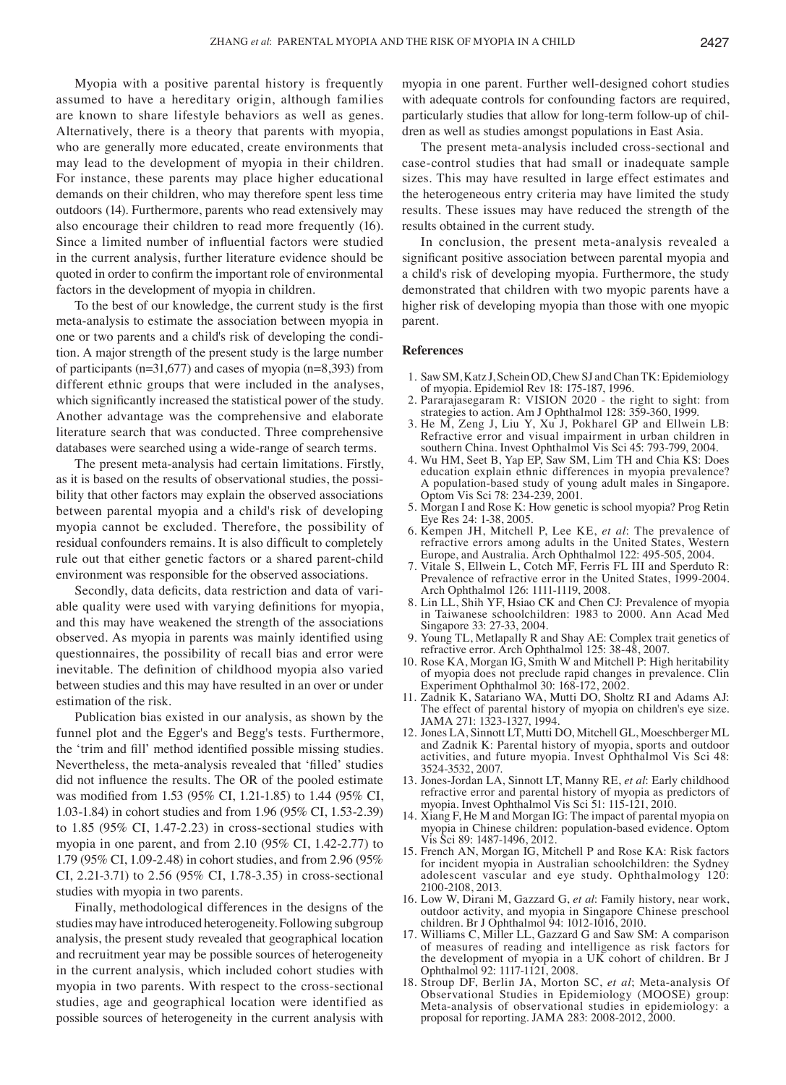Myopia with a positive parental history is frequently assumed to have a hereditary origin, although families are known to share lifestyle behaviors as well as genes. Alternatively, there is a theory that parents with myopia, who are generally more educated, create environments that may lead to the development of myopia in their children. For instance, these parents may place higher educational demands on their children, who may therefore spent less time outdoors (14). Furthermore, parents who read extensively may also encourage their children to read more frequently (16). Since a limited number of influential factors were studied in the current analysis, further literature evidence should be quoted in order to confirm the important role of environmental factors in the development of myopia in children.

To the best of our knowledge, the current study is the first meta-analysis to estimate the association between myopia in one or two parents and a child's risk of developing the condition. A major strength of the present study is the large number of participants (n=31,677) and cases of myopia (n=8,393) from different ethnic groups that were included in the analyses, which significantly increased the statistical power of the study. Another advantage was the comprehensive and elaborate literature search that was conducted. Three comprehensive databases were searched using a wide-range of search terms.

The present meta-analysis had certain limitations. Firstly, as it is based on the results of observational studies, the possibility that other factors may explain the observed associations between parental myopia and a child's risk of developing myopia cannot be excluded. Therefore, the possibility of residual confounders remains. It is also difficult to completely rule out that either genetic factors or a shared parent-child environment was responsible for the observed associations.

Secondly, data deficits, data restriction and data of variable quality were used with varying definitions for myopia, and this may have weakened the strength of the associations observed. As myopia in parents was mainly identified using questionnaires, the possibility of recall bias and error were inevitable. The definition of childhood myopia also varied between studies and this may have resulted in an over or under estimation of the risk.

Publication bias existed in our analysis, as shown by the funnel plot and the Egger's and Begg's tests. Furthermore, the 'trim and fill' method identified possible missing studies. Nevertheless, the meta-analysis revealed that 'filled' studies did not influence the results. The OR of the pooled estimate was modified from 1.53 (95% CI, 1.21-1.85) to 1.44 (95% CI, 1.03-1.84) in cohort studies and from 1.96 (95% CI, 1.53-2.39) to 1.85 (95% CI, 1.47-2.23) in cross-sectional studies with myopia in one parent, and from 2.10 (95% CI, 1.42-2.77) to 1.79 (95% CI, 1.09-2.48) in cohort studies, and from 2.96 (95% CI, 2.21-3.71) to 2.56 (95% CI, 1.78-3.35) in cross-sectional studies with myopia in two parents.

Finally, methodological differences in the designs of the studies may have introduced heterogeneity. Following subgroup analysis, the present study revealed that geographical location and recruitment year may be possible sources of heterogeneity in the current analysis, which included cohort studies with myopia in two parents. With respect to the cross-sectional studies, age and geographical location were identified as possible sources of heterogeneity in the current analysis with

myopia in one parent. Further well-designed cohort studies with adequate controls for confounding factors are required, particularly studies that allow for long-term follow-up of children as well as studies amongst populations in East Asia.

The present meta-analysis included cross-sectional and case-control studies that had small or inadequate sample sizes. This may have resulted in large effect estimates and the heterogeneous entry criteria may have limited the study results. These issues may have reduced the strength of the results obtained in the current study.

In conclusion, the present meta-analysis revealed a significant positive association between parental myopia and a child's risk of developing myopia. Furthermore, the study demonstrated that children with two myopic parents have a higher risk of developing myopia than those with one myopic parent.

#### **References**

- 1. Saw SM, Katz J, Schein OD, Chew SJ and Chan TK: Epidemiology of myopia. Epidemiol Rev 18: 175-187, 1996.
- 2. Pararajasegaram R: VISION 2020 the right to sight: from strategies to action. Am J Ophthalmol 128: 359-360, 1999.
- 3. He M, Zeng J, Liu Y, Xu J, Pokharel GP and Ellwein LB: Refractive error and visual impairment in urban children in southern China. Invest Ophthalmol Vis Sci 45: 793-799, 2004.
- 4. Wu HM, Seet B, Yap EP, Saw SM, Lim TH and Chia KS: Does education explain ethnic differences in myopia prevalence? A population-based study of young adult males in Singapore. Optom Vis Sci 78: 234-239, 2001.
- 5. Morgan I and Rose K: How genetic is school myopia? Prog Retin Eye Res 24: 1-38, 2005.
- 6. Kempen JH, Mitchell P, Lee KE, *et al*: The prevalence of refractive errors among adults in the United States, Western Europe, and Australia. Arch Ophthalmol 122: 495-505, 2004.
- 7. Vitale S, Ellwein L, Cotch MF, Ferris FL III and Sperduto R: Prevalence of refractive error in the United States, 1999-2004. Arch Ophthalmol 126: 1111-1119, 2008.
- 8. Lin LL, Shih YF, Hsiao CK and Chen CJ: Prevalence of myopia in Taiwanese schoolchildren: 1983 to 2000. Ann Acad Med Singapore 33: 27-33, 2004.
- 9. Young TL, Metlapally R and Shay AE: Complex trait genetics of refractive error. Arch Ophthalmol 125: 38-48, 2007.
- 10. Rose KA, Morgan IG, Smith W and Mitchell P: High heritability of myopia does not preclude rapid changes in prevalence. Clin Experiment Ophthalmol 30: 168-172, 2002.
- 11. Zadnik K, Satariano WA, Mutti DO, Sholtz RI and Adams AJ: The effect of parental history of myopia on children's eye size. JAMA 271: 1323-1327, 1994.
- 12. Jones LA, Sinnott LT, Mutti DO, Mitchell GL, Moeschberger ML and Zadnik K: Parental history of myopia, sports and outdoor activities, and future myopia. Invest Ophthalmol Vis Sci 48: 3524-3532, 2007.
- 13. Jones-Jordan LA, Sinnott LT, Manny RE, *et al*: Early childhood refractive error and parental history of myopia as predictors of myopia. Invest Ophthalmol Vis Sci 51: 115-121, 2010.
- 14. Xiang F, He M and Morgan IG: The impact of parental myopia on myopia in Chinese children: population-based evidence. Optom Vis Sci 89: 1487-1496, 2012.
- 15. French AN, Morgan IG, Mitchell P and Rose KA: Risk factors for incident myopia in Australian schoolchildren: the Sydney adolescent vascular and eye study. Ophthalmology 120: 2100-2108, 2013.
- 16. Low W, Dirani M, Gazzard G, *et al*: Family history, near work, outdoor activity, and myopia in Singapore Chinese preschool children. Br J Ophthalmol 94: 1012-1016, 2010.
- 17. Williams C, Miller LL, Gazzard G and Saw SM: A comparison of measures of reading and intelligence as risk factors for the development of myopia in a UK cohort of children. Br J Ophthalmol 92: 1117-1121, 2008.
- 18. Stroup DF, Berlin JA, Morton SC, *et al*; Meta-analysis Of Observational Studies in Epidemiology (MOOSE) group: Meta-analysis of observational studies in epidemiology: a proposal for reporting. JAMA 283: 2008-2012, 2000.